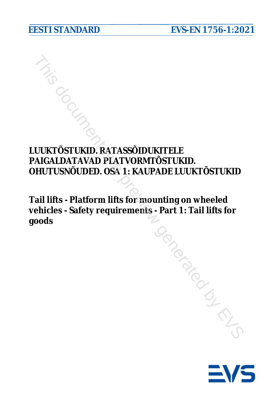# **LUUKTÕSTUKID. RATASSÕIDUKITELE PAIGALDATAVAD PLATVORMTÕSTUKID. OHUTUSNÕUDED. OSA 1: KAUPADE LUUKTÕSTUKID** The MICK CONTROLLAT AND RELATIONS CONTROLLAT AND RELATIONS ON PLATYORM TOSTUKID.<br>
HUTUSNÕUDED. OSA 1: KAUPADE LUUKTÕSTUKID<br>
ail lifts - Platform lifts for mounting on wheeled<br>
ehicles - Safety requirements - Part 1: Tail l

**Tail lifts - Platform lifts for mounting on wheeled vehicles - Safety requirements - Part 1: Tail lifts for goods**

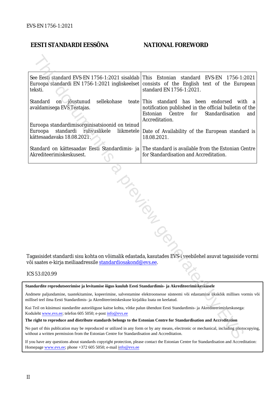## **EESTI STANDARDI EESSÕNA**

## **NATIONAL FOREWORD**

| teksti.                                                                                                                                                                                     | See Eesti standard EVS-EN 1756-1:2021 sisaldab This Estonian standard EVS-EN 1756-1:2021<br>Euroopa standardi EN 1756-1:2021 ingliskeelset consists of the English text of the European<br>standard EN 1756-1:2021. |
|---------------------------------------------------------------------------------------------------------------------------------------------------------------------------------------------|---------------------------------------------------------------------------------------------------------------------------------------------------------------------------------------------------------------------|
| sellekohase<br>Standard<br>on jõustunud<br>avaldamisega EVS Teatajas.                                                                                                                       | teate This standard has been endorsed<br>with a<br>notification published in the official bulletin of the<br>Estonian<br>Centre<br>for<br>Standardisation<br>and<br>Accreditation.                                  |
| Euroopa standardimisorganisatsioonid on teinud<br>Euroopa<br>standardi<br>rahvuslikele<br>liikmetele<br>kättesaadavaks 18.08.2021.                                                          | Date of Availability of the European standard is<br>18.08.2021.                                                                                                                                                     |
| Akrediteerimiskeskusest.                                                                                                                                                                    | Standard on kättesaadav Eesti Standardimis- ja The standard is available from the Estonian Centre<br>for Standardisation and Accreditation.                                                                         |
| või saates e-kirja meiliaadressile <u>standardiosakond@evs.ee</u> .<br>CS 53.020.99                                                                                                         | Tagasisidet standardi sisu kohta on võimalik edastada, kasutades EVS-i veebilehel asuvat tagasiside vormi                                                                                                           |
| tandardite reprodutseerimise ja levitamise õigus kuulub Eesti Standardimis- ja Akrediteerimiskeskusele                                                                                      |                                                                                                                                                                                                                     |
| nillisel teel ilma Eesti Standardimis- ja Akrediteerimiskeskuse kirjaliku loata on keelatud.                                                                                                | ndmete paljundamine, taastekitamine, kopeerimine, salvestamine elektroonsesse süsteemi või edastamine ükskõik millises vormis või                                                                                   |
| ui Teil on küsimusi standardite autoriõiguse kaitse kohta, võtke palun ühendust Eesti Standardimis- ja Akrediteerimiskeskusega:<br>oduleht www.evs.ee; telefon 605 5050; e-post info@evs.ee |                                                                                                                                                                                                                     |
| he right to reproduce and distribute standards belongs to the Estonian Centre for Standardisation and Accreditation                                                                         |                                                                                                                                                                                                                     |
| ithout a written permission from the Estonian Centre for Standardisation and Accreditation.                                                                                                 | lo part of this publication may be reproduced or utilized in any form or by any means, electronic or mechanical, including photocopying,                                                                            |

#### ICS 53.020.99

#### **Standardite reprodutseerimise ja levitamise õigus kuulub Eesti Standardimis- ja Akrediteerimiskeskusele**

#### **The right to reproduce and distribute standards belongs to the Estonian Centre for Standardisation and Accreditation**

If you have any questions about standards copyright protection, please contact the Estonian Centre for Standardisation and Accreditation: Homepage [www.evs.ee;](http://www.evs.ee/) phone +372 605 5050; e-mail info@evs.ee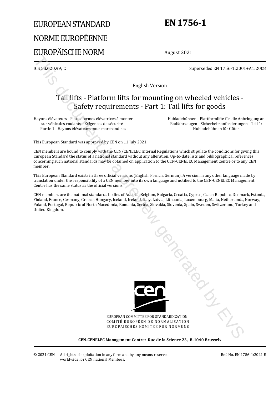# EUROPEAN STANDARD NORME EUROPÉENNE EUROPÄISCHE NORM

# **EN 1756-1**

August 2021

ICS 53.020.99; C Supersedes EN 1756-1:2001+A1:2008

English Version

# Tail lifts - Platform lifts for mounting on wheeled vehicles - Safety requirements - Part 1: Tail lifts for goods

Hayons élévateurs - Plates-formes élévatrices à monter sur véhicules roulants - Exigences de sécurité - Partie 1 : Hayons élévateurs pour marchandises

Hubladebühnen - Plattformlifte für die Anbringung an Radfahrzeugen - Sicherheitsanforderungen - Teil 1: Hubladebühnen für Güter

This European Standard was approved by CEN on 11 July 2021.

CEN members are bound to comply with the CEN/CENELEC Internal Regulations which stipulate the conditions for giving this European Standard the status of a national standard without any alteration. Up-to-date lists and bibliographical references concerning such national standards may be obtained on application to the CEN-CENELEC Management Centre or to any CEN member.

This European Standard exists in three official versions (English, French, German). A version in any other language made by translation under the responsibility of a CEN member into its own language and notified to the CEN-CENELEC Management Centre has the same status as the official versions.

CEN members are the national standards bodies of Austria, Belgium, Bulgaria, Croatia, Cyprus, Czech Republic, Denmark, Estonia, Finland, France, Germany, Greece, Hungary, Iceland, Ireland, Italy, Latvia, Lithuania, Luxembourg, Malta, Netherlands, Norway, Poland, Portugal, Republic of North Macedonia, Romania, Serbia, Slovakia, Slovenia, Spain, Sweden, Switzerland, Turkey and United Kingdom.



EUROPEAN COMMITTEE FOR STANDARDIZATION COMITÉ EUROPÉEN DE NORMALISATION EUROPÄISCHES KOMITEE FÜR NORMUNG

**CEN-CENELEC Management Centre: Rue de la Science 23, B-1040 Brussels**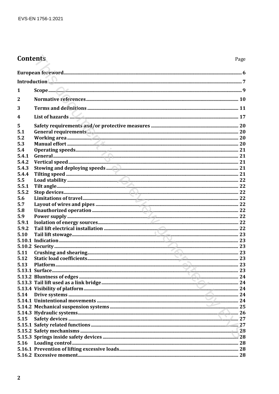# **Contents**

| Introduction <b>Manual Communication and Communication</b> and Communication and Communication and Communication and C |                           |  |
|------------------------------------------------------------------------------------------------------------------------|---------------------------|--|
| 1                                                                                                                      |                           |  |
| $\overline{2}$                                                                                                         |                           |  |
| 3                                                                                                                      |                           |  |
| 4                                                                                                                      | List of hazards $\sim$ 17 |  |
| 5                                                                                                                      |                           |  |
| 5.1                                                                                                                    |                           |  |
| 5.2                                                                                                                    |                           |  |
| 5.3                                                                                                                    |                           |  |
| 5.4                                                                                                                    |                           |  |
| 5.4.1                                                                                                                  |                           |  |
| 5.4.2                                                                                                                  |                           |  |
| 5.4.3                                                                                                                  |                           |  |
| 5.4.4                                                                                                                  |                           |  |
| 5.5                                                                                                                    |                           |  |
| 5.5.1                                                                                                                  |                           |  |
| 5.5.2                                                                                                                  |                           |  |
| 5.6                                                                                                                    |                           |  |
| 5.7                                                                                                                    |                           |  |
| 5.8                                                                                                                    |                           |  |
| 5.9                                                                                                                    |                           |  |
| 5.9.1                                                                                                                  |                           |  |
| 5.9.2                                                                                                                  |                           |  |
| 5.10                                                                                                                   |                           |  |
|                                                                                                                        |                           |  |
|                                                                                                                        |                           |  |
| 5.11                                                                                                                   |                           |  |
| 5.12                                                                                                                   |                           |  |
| 5.13                                                                                                                   |                           |  |
|                                                                                                                        |                           |  |
|                                                                                                                        |                           |  |
|                                                                                                                        |                           |  |
|                                                                                                                        |                           |  |
|                                                                                                                        |                           |  |
| 5.14                                                                                                                   |                           |  |
|                                                                                                                        |                           |  |
|                                                                                                                        |                           |  |
|                                                                                                                        |                           |  |
| 5.15                                                                                                                   |                           |  |
|                                                                                                                        |                           |  |
|                                                                                                                        |                           |  |
|                                                                                                                        |                           |  |
| 5.16                                                                                                                   |                           |  |
|                                                                                                                        |                           |  |
|                                                                                                                        |                           |  |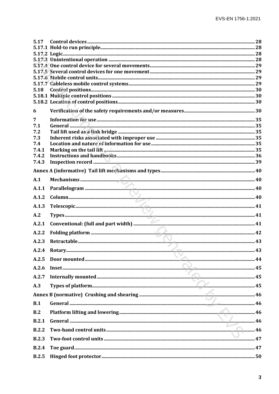| 5.17         |  |
|--------------|--|
|              |  |
|              |  |
|              |  |
|              |  |
|              |  |
|              |  |
| 5.18         |  |
|              |  |
|              |  |
| 6            |  |
| 7            |  |
| 7.1          |  |
| 7.2          |  |
| 7.3<br>7.4   |  |
| 7.4.1        |  |
| 7.4.2        |  |
| 7.4.3        |  |
|              |  |
| A.1          |  |
| A.1.1        |  |
| A.1.2        |  |
| A.1.3        |  |
| A.2          |  |
| A.2.1        |  |
| A.2.2        |  |
| A.2.3        |  |
|              |  |
| A.2.5        |  |
| A.2.6        |  |
| A.2.7        |  |
| A.3          |  |
|              |  |
| B.1          |  |
| B.2          |  |
| B.2.1        |  |
| B.2.2        |  |
| <b>B.2.3</b> |  |
| <b>B.2.4</b> |  |
| B.2.5        |  |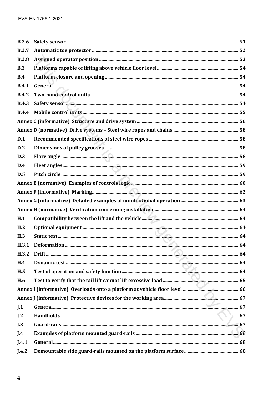| B.2.6            |  |
|------------------|--|
| B.2.7            |  |
| <b>B.2.8</b>     |  |
| B.3              |  |
| B.4              |  |
| <b>B.4.1</b>     |  |
| <b>B.4.2</b>     |  |
| <b>B.4.3</b>     |  |
| <b>B.4.4</b>     |  |
|                  |  |
|                  |  |
| D.1              |  |
| D.2              |  |
| D.3              |  |
| D.4              |  |
| D.5              |  |
|                  |  |
|                  |  |
|                  |  |
|                  |  |
| H.1              |  |
| H <sub>1</sub> 2 |  |
| H <sub>3</sub>   |  |
| H.3.1            |  |
| H.3.2            |  |
| H.4              |  |
| H.5              |  |
| H.6              |  |
|                  |  |
|                  |  |
| J.1              |  |
| J.2              |  |
| J.3              |  |
| I.4              |  |
| J.4.1            |  |
| J.4.2            |  |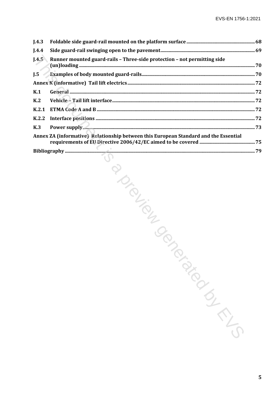| I.4.3          |                                                                                      |   |
|----------------|--------------------------------------------------------------------------------------|---|
| J.4.4          |                                                                                      |   |
| J.4.5          | Runner mounted guard-rails - Three-side protection - not permitting side             |   |
| I.5            |                                                                                      |   |
|                |                                                                                      |   |
| K.1            |                                                                                      |   |
| K <sub>2</sub> |                                                                                      |   |
| K.2.1          |                                                                                      |   |
| K.2.2          |                                                                                      |   |
| K <sub>3</sub> |                                                                                      |   |
|                | Annex ZA (informative) Relationship between this European Standard and the Essential |   |
|                |                                                                                      |   |
|                | POLICETICS<br>TON BIROKS                                                             |   |
|                |                                                                                      | 5 |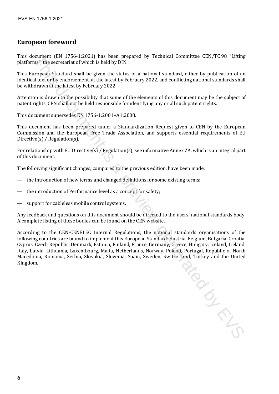# **European foreword**

This document (EN 1756-1:2021) has been prepared by Technical Committee CEN/TC 98 "Lifting platforms", the secretariat of which is held by DIN.

This European Standard shall be given the status of a national standard, either by publication of an identical text or by endorsement, at the latest by February 2022, and conflicting national standards shall be withdrawn at the latest by February 2022.

Attention is drawn to the possibility that some of the elements of this document may be the subject of patent rights. CEN shall not be held responsible for identifying any or all such patent rights.

This document supersedes EN 1756-1:2001+A1:2008.

This document has been prepared under a Standardization Request given to CEN by the European Commission and the European Free Trade Association, and supports essential requirements of EU Directive(s) / Regulation(s).

For relationship with EU Directive(s) / Regulation(s), see informative Annex ZA, which is an integral part of this document.

The following significant changes, compared to the previous edition, have been made:

- the introduction of new terms and changed definitions for some existing terms;
- the introduction of Performance level as a concept for safety;
- support for cableless mobile control systems.

Any feedback and questions on this document should be directed to the users' national standards body. A complete listing of these bodies can be found on the CEN website.

According to the CEN-CENELEC Internal Regulations, the national standards organisations of the following countries are bound to implement this European Standard: Austria, Belgium, Bulgaria, Croatia, Cyprus, Czech Republic, Denmark, Estonia, Finland, France, Germany, Greece, Hungary, Iceland, Ireland, Italy, Latvia, Lithuania, Luxembourg, Malta, Netherlands, Norway, Poland, Portugal, Republic of North Macedonia, Romania, Serbia, Slovakia, Slovenia, Spain, Sweden, Switzerland, Turkey and the United Kingdom. Kingdom. ommert (RN 1785-1-2021) has been prepared by Technical Committee CEN/TC 98 "Lifting<br>this disc executaria of which is held by DIN;<br>a prepare Standard, either by publication of an archive formulation<br>on is all extinctly rela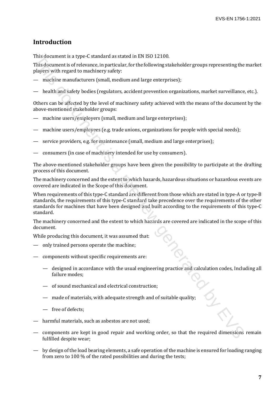# **Introduction**

This document is a type-C standard as stated in EN ISO 12100.

This document is of relevance, in particular, for the following stakeholder groups representing the market players with regard to machinery safety:

- machine manufacturers (small, medium and large enterprises);
- health and safety bodies (regulators, accident prevention organizations, market surveillance, etc.).

Others can be affected by the level of machinery safety achieved with the means of the document by the above-mentioned stakeholder groups:

- machine users/employers (small, medium and large enterprises);
- machine users/employees (e.g. trade unions, organizations for people with special needs);
- service providers, e.g. for maintenance (small, medium and large enterprises);
- consumers (in case of machinery intended for use by consumers).

The above-mentioned stakeholder groups have been given the possibility to participate at the drafting process of this document.

The machinery concerned and the extent to which hazards, hazardous situations or hazardous events are covered are indicated in the Scope of this document.

When requirements of this type-C standard are different from those which are stated in type-A or type-B standards, the requirements of this type-C standard take precedence over the requirements of the other standards for machines that have been designed and built according to the requirements of this type-C standard. This document is a type C standard as the NHS 12100.<br>
This document is a type C standard as stated in NHS 12100.<br>
This documents is a freely-vace, in particular, for the following staleholder groups representing the<br>
phoy

The machinery concerned and the extent to which hazards are covered are indicated in the scope of this document.

While producing this document, it was assumed that:

- only trained persons operate the machine;
- components without specific requirements are:
	- designed in accordance with the usual engineering practice and calculation codes, Including all failure modes;
	- of sound mechanical and electrical construction;
	- made of materials, with adequate strength and of suitable quality;
	- free of defects;
- harmful materials, such as asbestos are not used;
- components are kept in good repair and working order, so that the required dimensions remain fulfilled despite wear;
- by design of the load bearing elements, a safe operation of the machine is ensured for loading ranging from zero to 100 % of the rated possibilities and during the tests;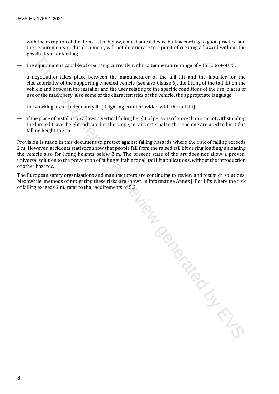- with the exception of the items listed below, a mechanical device built according to good practice and the requirements in this document, will not deteriorate to a point of creating a hazard without the possibility of detection;
- the equipment is capable of operating correctly within a temperature range of −15 °C to +40 °C;
- a negotiation takes place between the manufacturer of the tail lift and the installer for the characteristics of the supporting wheeled vehicle (see also Clause 6), the fitting of the tail lift on the vehicle and between the installer and the user relating to the specific conditions of the use, places of use of the machinery, also some of the characteristics of the vehicle, the appropriate language;
- the working area is adequately lit (if lighting is not provided with the tail lift);
- if the place of installation allows a vertical falling height of persons of more than 3 m notwithstanding the limited travel height indicated in the scope, means external to the machine are used to limit this falling height to 3 m.

Provision is made in this document to protect against falling hazards where the risk of falling exceeds 2 m. However, accidents statistics show that people fall from the raised tail lift during loading/unloading the vehicle also for lifting heights below 2 m. The present state of the art does not allow a proven, universal solution to the prevention of falling suitable for all tail lift applications, without the introduction of other hazards.

The European safety organisations and manufacturers are continuing to review and test such solutions. Meanwhile, methods of mitigating these risks are shown in informative Annex J. For lifts where the risk of falling exceeds 2 m, refer to the requirements of 5.2. suis de proces is a preview du la proces

**8**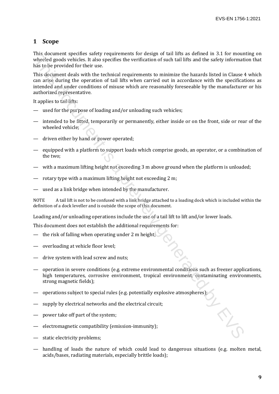## **1 Scope**

This document specifies safety requirements for design of tail lifts as defined in 3.1 for mounting on wheeled goods vehicles. It also specifies the verification of such tail lifts and the safety information that has to be provided for their use.

This document deals with the technical requirements to minimize the hazards listed in Clause 4 which can arise during the operation of tail lifts when carried out in accordance with the specifications as intended and under conditions of misuse which are reasonably foreseeable by the manufacturer or his authorized representative. The note that a product is a steady requiredness to the mass of the mass of the mass of the steady information of starting the particle in the steady information of starting the particle of starting the particle of starti

It applies to tail lifts:

- used for the purpose of loading and/or unloading such vehicles;
- intended to be fitted, temporarily or permanently, either inside or on the front, side or rear of the wheeled vehicle;
- driven either by hand or power operated;
- equipped with a platform to support loads which comprise goods, an operator, or a combination of the two;
- with a maximum lifting height not exceeding 3 m above ground when the platform is unloaded;
- rotary type with a maximum lifting height not exceeding 2 m;
- used as a link bridge when intended by the manufacturer.

NOTE A tail lift is not to be confused with a link bridge attached to a loading dock which is included within the definition of a dock leveller and is outside the scope of this document.

Loading and/or unloading operations include the use of a tail lift to lift and/or lower loads.

This document does not establish the additional requirements for:

- the risk of falling when operating under 2 m height;
- overloading at vehicle floor level;
- drive system with lead screw and nuts;
- operation in severe conditions (e.g. extreme environmental conditions such as freezer applications, high temperatures, corrosive environment, tropical environment, contaminating environments, strong magnetic fields);
- operations subject to special rules (e.g. potentially explosive atmospheres);
- supply by electrical networks and the electrical circuit;
- power take off part of the system;
- electromagnetic compatibility (emission-immunity);
- static electricity problems;
- handling of loads the nature of which could lead to dangerous situations (e.g. molten metal, acids/bases, radiating materials, especially brittle loads);